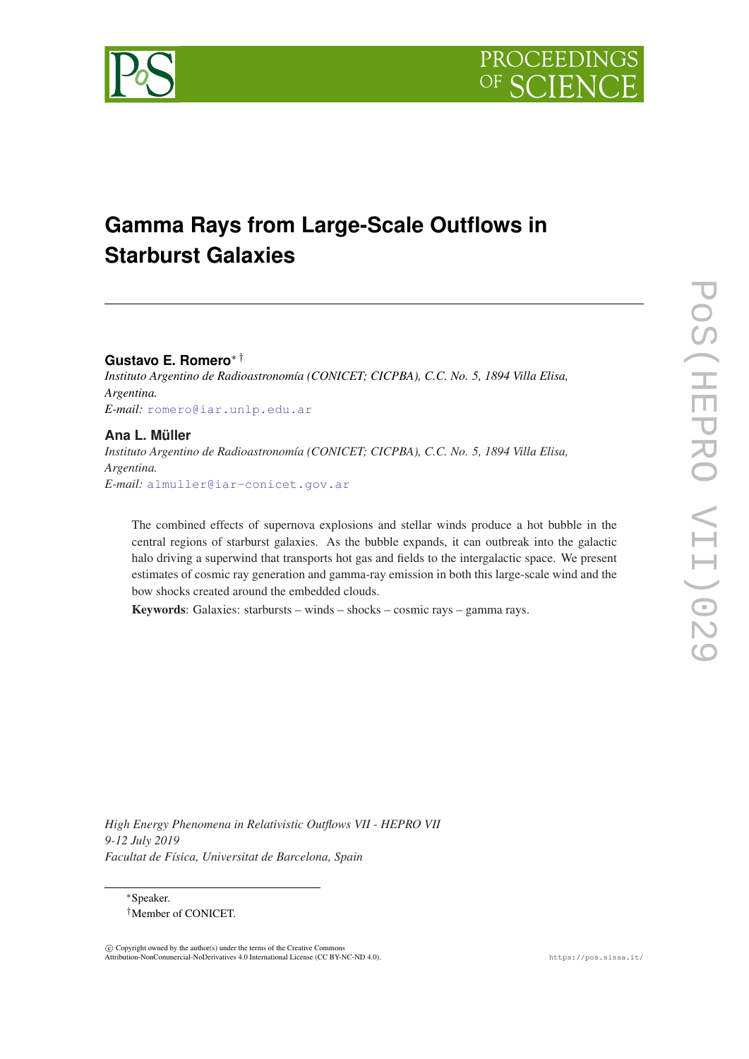



# **Gamma Rays from Large-Scale Outflows in Starburst Galaxies**

**Gustavo E. Romero**∗ †

*Instituto Argentino de Radioastronomía (CONICET; CICPBA), C.C. No. 5, 1894 Villa Elisa, Argentina. E-mail:* [romero@iar.unlp.edu.ar](mailto:romero@iar.unlp.edu.ar)

## **Ana L. Müller**

*Instituto Argentino de Radioastronomía (CONICET; CICPBA), C.C. No. 5, 1894 Villa Elisa, Argentina. E-mail:* [almuller@iar-conicet.gov.ar](mailto:almuller@iar-conicet.gov.ar)

The combined effects of supernova explosions and stellar winds produce a hot bubble in the central regions of starburst galaxies. As the bubble expands, it can outbreak into the galactic halo driving a superwind that transports hot gas and fields to the intergalactic space. We present estimates of cosmic ray generation and gamma-ray emission in both this large-scale wind and the bow shocks created around the embedded clouds.

Keywords: Galaxies: starbursts – winds – shocks – cosmic rays – gamma rays.

*High Energy Phenomena in Relativistic Outflows VII - HEPRO VII 9-12 July 2019 Facultat de Física, Universitat de Barcelona, Spain*

<sup>∗</sup>Speaker. †Member of CONICET.

 $\overline{c}$  Copyright owned by the author(s) under the terms of the Creative Common Attribution-NonCommercial-NoDerivatives 4.0 International License (CC BY-NC-ND 4.0). https://pos.sissa.it/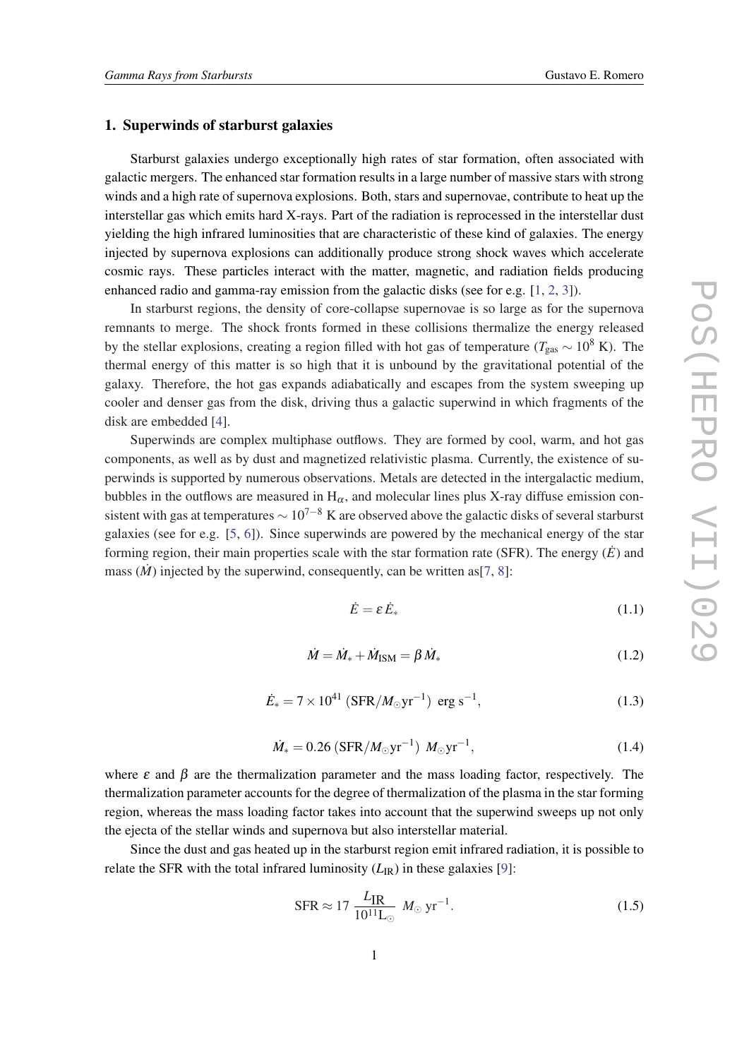#### 1. Superwinds of starburst galaxies

Starburst galaxies undergo exceptionally high rates of star formation, often associated with galactic mergers. The enhanced star formation results in a large number of massive stars with strong winds and a high rate of supernova explosions. Both, stars and supernovae, contribute to heat up the interstellar gas which emits hard X-rays. Part of the radiation is reprocessed in the interstellar dust yielding the high infrared luminosities that are characteristic of these kind of galaxies. The energy injected by supernova explosions can additionally produce strong shock waves which accelerate cosmic rays. These particles interact with the matter, magnetic, and radiation fields producing enhanced radio and gamma-ray emission from the galactic disks (see for e.g. [\[1](#page-5-0), [2](#page-5-0), [3](#page-5-0)]).

In starburst regions, the density of core-collapse supernovae is so large as for the supernova remnants to merge. The shock fronts formed in these collisions thermalize the energy released by the stellar explosions, creating a region filled with hot gas of temperature (*T*<sub>gas</sub> ∼ 10<sup>8</sup> K). The thermal energy of this matter is so high that it is unbound by the gravitational potential of the galaxy. Therefore, the hot gas expands adiabatically and escapes from the system sweeping up cooler and denser gas from the disk, driving thus a galactic superwind in which fragments of the disk are embedded [\[4\]](#page-5-0).

Superwinds are complex multiphase outflows. They are formed by cool, warm, and hot gas components, as well as by dust and magnetized relativistic plasma. Currently, the existence of superwinds is supported by numerous observations. Metals are detected in the intergalactic medium, bubbles in the outflows are measured in  $H_{\alpha}$ , and molecular lines plus X-ray diffuse emission consistent with gas at temperatures  $\sim 10^{7-8}$  K are observed above the galactic disks of several starburst galaxies (see for e.g. [[5](#page-5-0), [6\]](#page-5-0)). Since superwinds are powered by the mechanical energy of the star forming region, their main properties scale with the star formation rate (SFR). The energy  $(\dot{E})$  and mass  $(M)$  injected by the superwind, consequently, can be written as [[7](#page-5-0), [8](#page-5-0)]:

$$
\dot{E} = \varepsilon \dot{E}_* \tag{1.1}
$$

$$
\dot{M} = \dot{M}_{*} + \dot{M}_{\text{ISM}} = \beta \dot{M}_{*} \tag{1.2}
$$

$$
\dot{E}_* = 7 \times 10^{41} \left( \text{SFR} / M_\odot \text{yr}^{-1} \right) \text{ erg s}^{-1},\tag{1.3}
$$

$$
\dot{M}_{*} = 0.26 \left( \text{SFR} / M_{\odot} \text{yr}^{-1} \right) M_{\odot} \text{yr}^{-1},\tag{1.4}
$$

where  $\varepsilon$  and  $\beta$  are the thermalization parameter and the mass loading factor, respectively. The thermalization parameter accounts for the degree of thermalization of the plasma in the star forming region, whereas the mass loading factor takes into account that the superwind sweeps up not only the ejecta of the stellar winds and supernova but also interstellar material.

Since the dust and gas heated up in the starburst region emit infrared radiation, it is possible to relate the SFR with the total infrared luminosity  $(L_{\rm IR})$  in these galaxies [\[9\]](#page-5-0):

$$
\text{SFR} \approx 17 \frac{L_{\text{IR}}}{10^{11} \text{L}_{\odot}} M_{\odot} \text{ yr}^{-1}.
$$
 (1.5)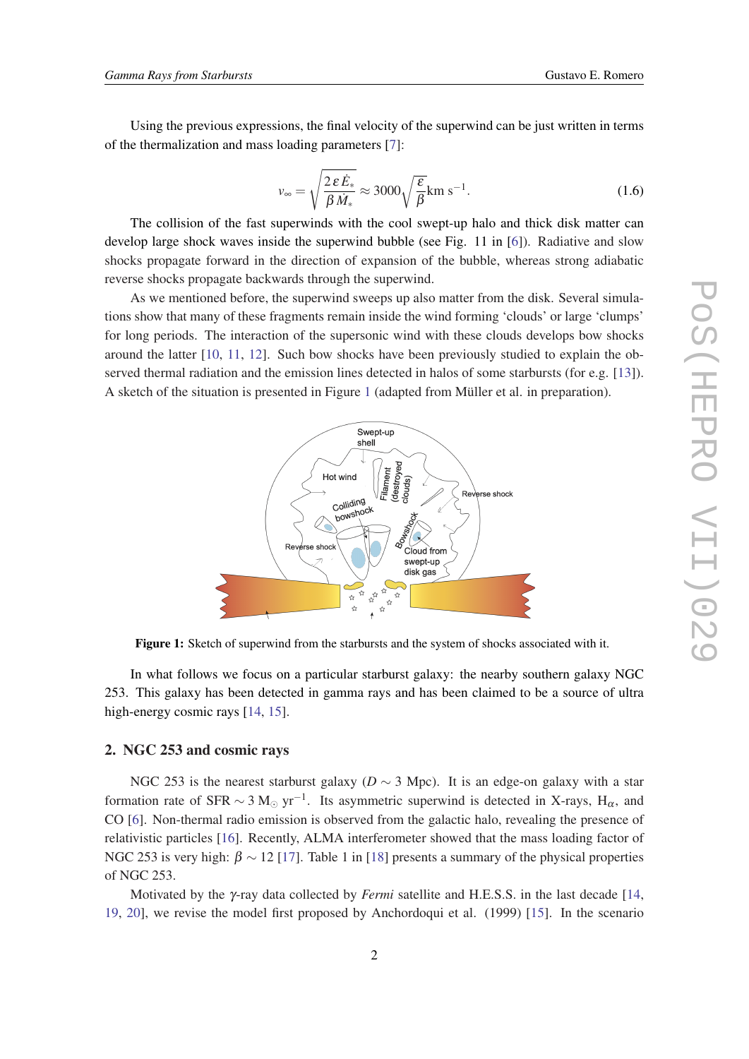Using the previous expressions, the final velocity of the superwind can be just written in terms of the thermalization and mass loading parameters [[7](#page-5-0)]:

$$
v_{\infty} = \sqrt{\frac{2 \varepsilon \dot{E}_*}{\beta \dot{M}_*}} \approx 3000 \sqrt{\frac{\varepsilon}{\beta}} \text{km s}^{-1}.
$$
 (1.6)

The collision of the fast superwinds with the cool swept-up halo and thick disk matter can develop large shock waves inside the superwind bubble (see Fig. 11 in [[6](#page-5-0)]). Radiative and slow shocks propagate forward in the direction of expansion of the bubble, whereas strong adiabatic reverse shocks propagate backwards through the superwind.

As we mentioned before, the superwind sweeps up also matter from the disk. Several simulations show that many of these fragments remain inside the wind forming 'clouds' or large 'clumps' for long periods. The interaction of the supersonic wind with these clouds develops bow shocks around the latter [\[10](#page-5-0), [11,](#page-5-0) [12\]](#page-5-0). Such bow shocks have been previously studied to explain the observed thermal radiation and the emission lines detected in halos of some starbursts (for e.g. [\[13\]](#page-5-0)). A sketch of the situation is presented in Figure 1 (adapted from Müller et al. in preparation).



Figure 1: Sketch of superwind from the starbursts and the system of shocks associated with it.

In what follows we focus on a particular starburst galaxy: the nearby southern galaxy NGC 253. This galaxy has been detected in gamma rays and has been claimed to be a source of ultra high-energy cosmic rays [[14,](#page-5-0) [15](#page-5-0)].

### 2. NGC 253 and cosmic rays

NGC 253 is the nearest starburst galaxy ( $D \sim 3$  Mpc). It is an edge-on galaxy with a star formation rate of SFR  $\sim 3 \text{ M}_{\odot} \text{ yr}^{-1}$ . Its asymmetric superwind is detected in X-rays, H<sub>α</sub>, and CO [\[6\]](#page-5-0). Non-thermal radio emission is observed from the galactic halo, revealing the presence of relativistic particles [[16\]](#page-6-0). Recently, ALMA interferometer showed that the mass loading factor of NGC 253 is very high:  $\beta \sim 12$  [\[17\]](#page-6-0). Table 1 in [[18\]](#page-6-0) presents a summary of the physical properties of NGC 253.

Motivated by the γ-ray data collected by *Fermi* satellite and H.E.S.S. in the last decade [\[14](#page-5-0), [19](#page-6-0), [20\]](#page-6-0), we revise the model first proposed by Anchordoqui et al. (1999) [[15\]](#page-5-0). In the scenario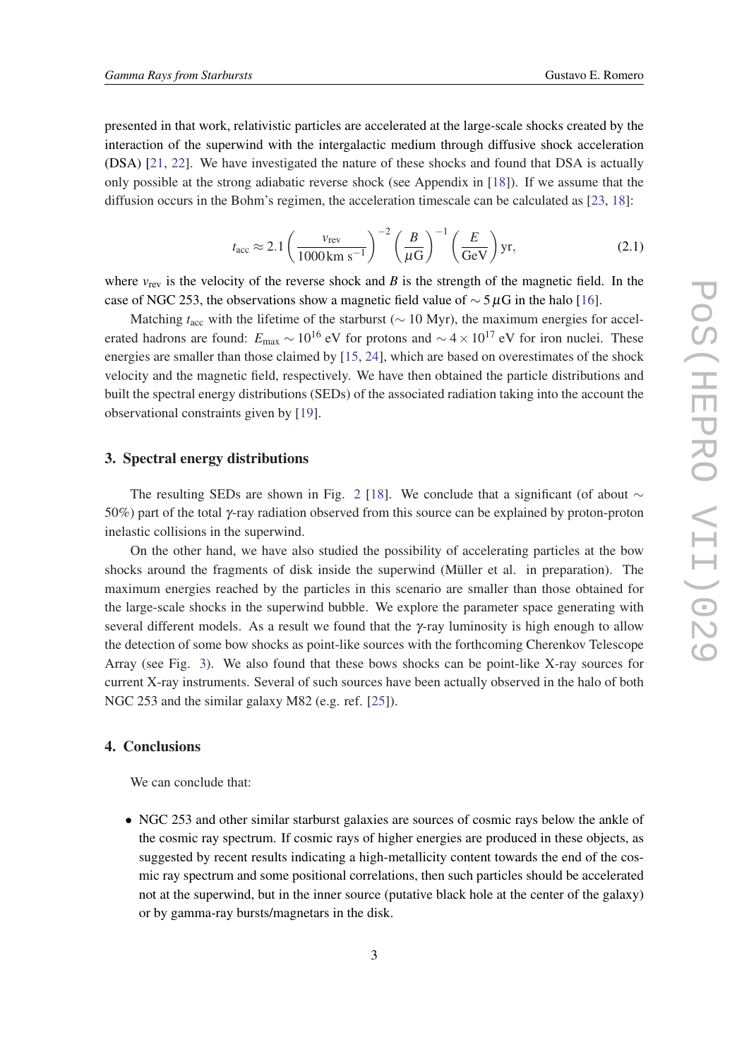presented in that work, relativistic particles are accelerated at the large-scale shocks created by the interaction of the superwind with the intergalactic medium through diffusive shock acceleration (DSA) [\[21](#page-6-0), [22](#page-6-0)]. We have investigated the nature of these shocks and found that DSA is actually only possible at the strong adiabatic reverse shock (see Appendix in [\[18](#page-6-0)]). If we assume that the diffusion occurs in the Bohm's regimen, the acceleration timescale can be calculated as [\[23,](#page-6-0) [18](#page-6-0)]:

$$
t_{\rm acc} \approx 2.1 \left(\frac{v_{\rm rev}}{1000 \,\rm km\ s^{-1}}\right)^{-2} \left(\frac{B}{\mu\mathrm{G}}\right)^{-1} \left(\frac{E}{\mathrm{GeV}}\right) \mathrm{yr},\tag{2.1}
$$

where  $v_{\text{rev}}$  is the velocity of the reverse shock and *B* is the strength of the magnetic field. In the case of NGC 253, the observations show a magnetic field value of  $\sim$  5µG in the halo [[16\]](#page-6-0).

Matching *t*<sub>acc</sub> with the lifetime of the starburst (∼ 10 Myr), the maximum energies for accelerated hadrons are found:  $E_{\text{max}} \sim 10^{16}$  eV for protons and  $\sim 4 \times 10^{17}$  eV for iron nuclei. These energies are smaller than those claimed by [\[15](#page-5-0), [24](#page-6-0)], which are based on overestimates of the shock velocity and the magnetic field, respectively. We have then obtained the particle distributions and built the spectral energy distributions (SEDs) of the associated radiation taking into the account the observational constraints given by [\[19](#page-6-0)].

#### 3. Spectral energy distributions

The resulting SEDs are shown in Fig. [2](#page-4-0) [\[18](#page-6-0)]. We conclude that a significant (of about  $\sim$ 50%) part of the total γ-ray radiation observed from this source can be explained by proton-proton inelastic collisions in the superwind.

On the other hand, we have also studied the possibility of accelerating particles at the bow shocks around the fragments of disk inside the superwind (Müller et al. in preparation). The maximum energies reached by the particles in this scenario are smaller than those obtained for the large-scale shocks in the superwind bubble. We explore the parameter space generating with several different models. As a result we found that the γ-ray luminosity is high enough to allow the detection of some bow shocks as point-like sources with the forthcoming Cherenkov Telescope Array (see Fig. [3](#page-4-0)). We also found that these bows shocks can be point-like X-ray sources for current X-ray instruments. Several of such sources have been actually observed in the halo of both NGC 253 and the similar galaxy M82 (e.g. ref. [\[25](#page-6-0)]).

# 4. Conclusions

We can conclude that:

• NGC 253 and other similar starburst galaxies are sources of cosmic rays below the ankle of the cosmic ray spectrum. If cosmic rays of higher energies are produced in these objects, as suggested by recent results indicating a high-metallicity content towards the end of the cosmic ray spectrum and some positional correlations, then such particles should be accelerated not at the superwind, but in the inner source (putative black hole at the center of the galaxy) or by gamma-ray bursts/magnetars in the disk.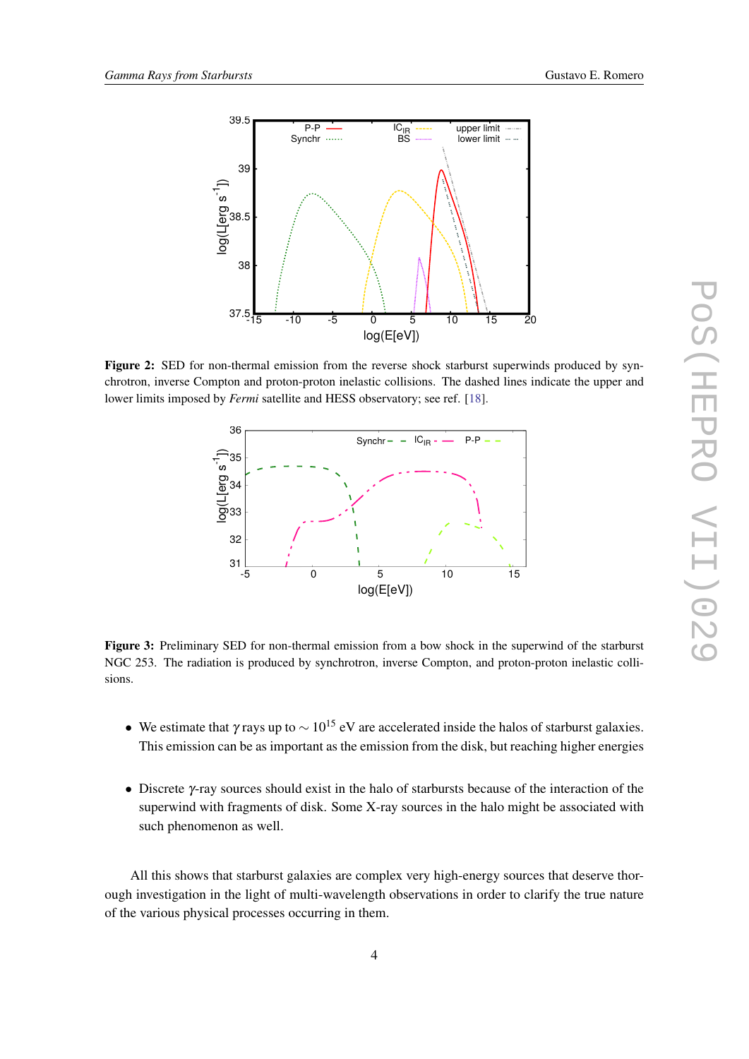<span id="page-4-0"></span>

Figure 2: SED for non-thermal emission from the reverse shock starburst superwinds produced by synchrotron, inverse Compton and proton-proton inelastic collisions. The dashed lines indicate the upper and lower limits imposed by *Fermi* satellite and HESS observatory; see ref. [[18\]](#page-6-0).



Figure 3: Preliminary SED for non-thermal emission from a bow shock in the superwind of the starburst NGC 253. The radiation is produced by synchrotron, inverse Compton, and proton-proton inelastic collisions.

- We estimate that γ rays up to  $\sim 10^{15}$  eV are accelerated inside the halos of starburst galaxies. This emission can be as important as the emission from the disk, but reaching higher energies
- Discrete γ-ray sources should exist in the halo of starbursts because of the interaction of the superwind with fragments of disk. Some X-ray sources in the halo might be associated with such phenomenon as well.

All this shows that starburst galaxies are complex very high-energy sources that deserve thorough investigation in the light of multi-wavelength observations in order to clarify the true nature of the various physical processes occurring in them.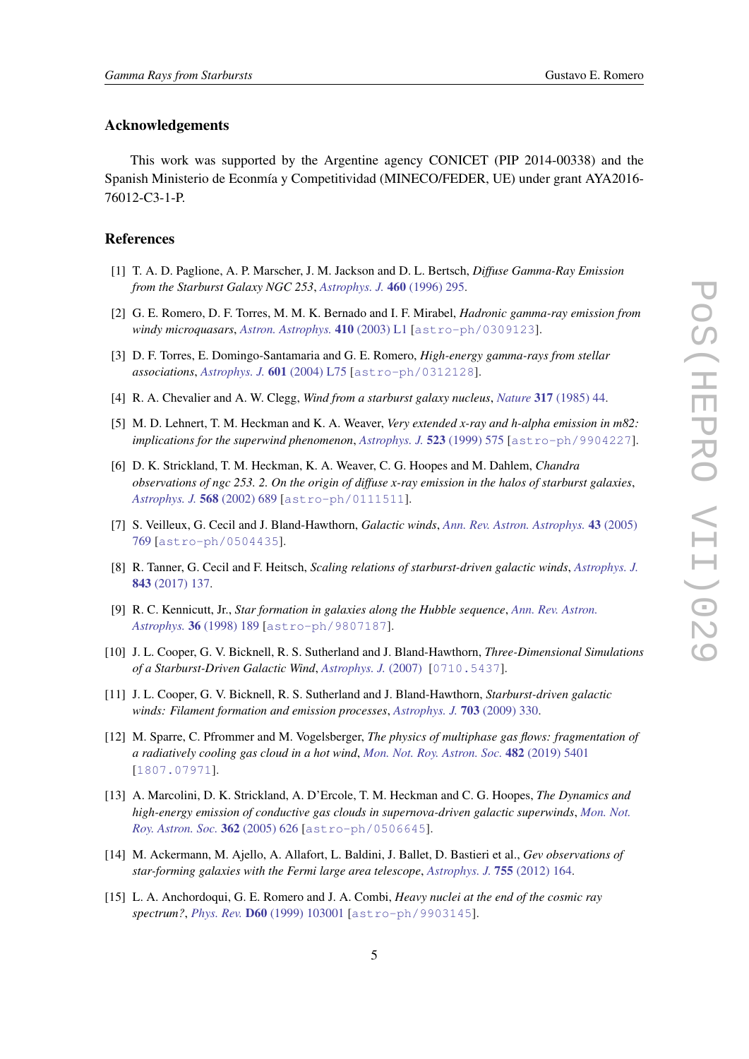#### <span id="page-5-0"></span>Acknowledgements

This work was supported by the Argentine agency CONICET (PIP 2014-00338) and the Spanish Ministerio de Econmía y Competitividad (MINECO/FEDER, UE) under grant AYA2016- 76012-C3-1-P.

#### References

- [1] T. A. D. Paglione, A. P. Marscher, J. M. Jackson and D. L. Bertsch, *Diffuse Gamma-Ray Emission from the Starburst Galaxy NGC 253*, *[Astrophys. J.](https://doi.org/10.1086/176969)* 460 (1996) 295.
- [2] G. E. Romero, D. F. Torres, M. M. K. Bernado and I. F. Mirabel, *Hadronic gamma-ray emission from windy microquasars*, *[Astron. Astrophys.](https://doi.org/10.1051/0004-6361:20031314-1)* 410 (2003) L1 [[astro-ph/0309123](https://arxiv.org/abs/astro-ph/0309123)].
- [3] D. F. Torres, E. Domingo-Santamaria and G. E. Romero, *High-energy gamma-rays from stellar associations*, *[Astrophys. J.](https://doi.org/10.1086/381803)* 601 (2004) L75 [[astro-ph/0312128](https://arxiv.org/abs/astro-ph/0312128)].
- [4] R. A. Chevalier and A. W. Clegg, *Wind from a starburst galaxy nucleus*, *Nature* 317 [\(1985\) 44](https://doi.org/10.1038/317044a0).
- [5] M. D. Lehnert, T. M. Heckman and K. A. Weaver, *Very extended x-ray and h-alpha emission in m82: implications for the superwind phenomenon*, *[Astrophys. J.](https://doi.org/10.1086/307762)* 523 (1999) 575 [[astro-ph/9904227](https://arxiv.org/abs/astro-ph/9904227)].
- [6] D. K. Strickland, T. M. Heckman, K. A. Weaver, C. G. Hoopes and M. Dahlem, *Chandra observations of ngc 253. 2. On the origin of diffuse x-ray emission in the halos of starburst galaxies*, *[Astrophys. J.](https://doi.org/10.1086/338889)* 568 (2002) 689 [[astro-ph/0111511](https://arxiv.org/abs/astro-ph/0111511)].
- [7] S. Veilleux, G. Cecil and J. Bland-Hawthorn, *Galactic winds*, *[Ann. Rev. Astron. Astrophys.](https://doi.org/10.1146/annurev.astro.43.072103.150610)* 43 (2005) [769](https://doi.org/10.1146/annurev.astro.43.072103.150610) [[astro-ph/0504435](https://arxiv.org/abs/astro-ph/0504435)].
- [8] R. Tanner, G. Cecil and F. Heitsch, *Scaling relations of starburst-driven galactic winds*, *[Astrophys. J.](https://doi.org/10.3847/1538-4357/aa78a8)* 843 [\(2017\) 137.](https://doi.org/10.3847/1538-4357/aa78a8)
- [9] R. C. Kennicutt, Jr., *Star formation in galaxies along the Hubble sequence*, *[Ann. Rev. Astron.](https://doi.org/10.1146/annurev.astro.36.1.189) Astrophys.* 36 [\(1998\) 189](https://doi.org/10.1146/annurev.astro.36.1.189) [[astro-ph/9807187](https://arxiv.org/abs/astro-ph/9807187)].
- [10] J. L. Cooper, G. V. Bicknell, R. S. Sutherland and J. Bland-Hawthorn, *Three-Dimensional Simulations of a Starburst-Driven Galactic Wind*, *[Astrophys. J.](https://doi.org/10.1007/s10509-007-9526-4)* (2007) [[0710.5437](https://arxiv.org/abs/0710.5437)].
- [11] J. L. Cooper, G. V. Bicknell, R. S. Sutherland and J. Bland-Hawthorn, *Starburst-driven galactic winds: Filament formation and emission processes*, *[Astrophys. J.](https://doi.org/10.1088/0004-637x/703/1/330)* 703 (2009) 330.
- [12] M. Sparre, C. Pfrommer and M. Vogelsberger, *The physics of multiphase gas flows: fragmentation of a radiatively cooling gas cloud in a hot wind*, *[Mon. Not. Roy. Astron. Soc.](https://doi.org/10.1093/mnras/sty3063)* 482 (2019) 5401 [[1807.07971](https://arxiv.org/abs/1807.07971)].
- [13] A. Marcolini, D. K. Strickland, A. D'Ercole, T. M. Heckman and C. G. Hoopes, *The Dynamics and high-energy emission of conductive gas clouds in supernova-driven galactic superwinds*, *[Mon. Not.](https://doi.org/10.1111/j.1365-2966.2005.09343.x) [Roy. Astron. Soc.](https://doi.org/10.1111/j.1365-2966.2005.09343.x)* 362 (2005) 626 [[astro-ph/0506645](https://arxiv.org/abs/astro-ph/0506645)].
- [14] M. Ackermann, M. Ajello, A. Allafort, L. Baldini, J. Ballet, D. Bastieri et al., *Gev observations of star-forming galaxies with the Fermi large area telescope*, *[Astrophys. J.](https://doi.org/10.1088/0004-637x/755/2/164)* 755 (2012) 164.
- [15] L. A. Anchordoqui, G. E. Romero and J. A. Combi, *Heavy nuclei at the end of the cosmic ray spectrum?*, *Phys. Rev.* D60 [\(1999\) 103001](https://doi.org/10.1103/PhysRevD.60.103001) [[astro-ph/9903145](https://arxiv.org/abs/astro-ph/9903145)].